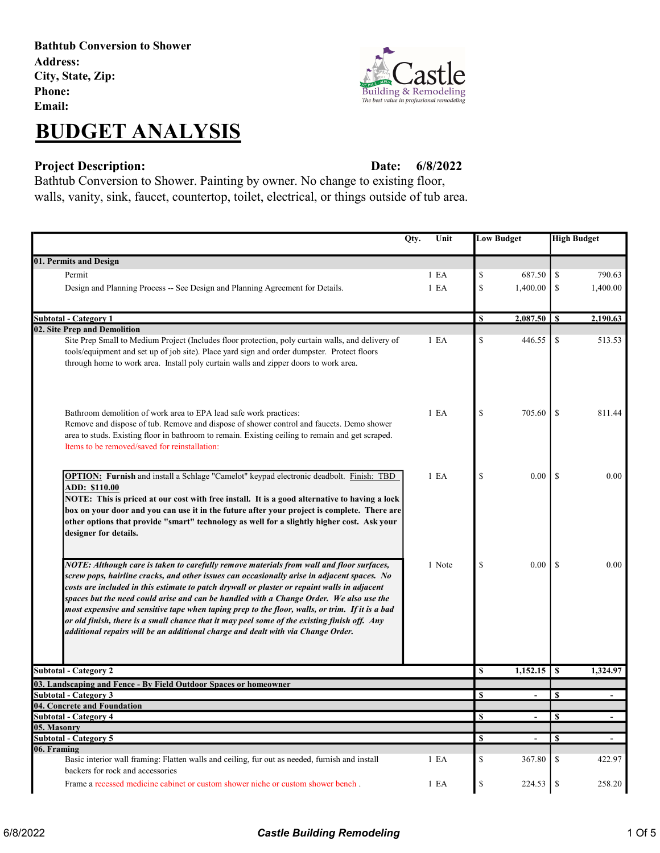Bathtub Conversion to Shower Address: City, State, Zip: Phone: Email:

# BUDGET ANALYSIS





6/8/2022

Bathtub Conversion to Shower. Painting by owner. No change to existing floor, walls, vanity, sink, faucet, countertop, toilet, electrical, or things outside of tub area.

| Qty.<br>Unit                                                                                                                                                                     |        | <b>Low Budget</b> |                 | <b>High Budget</b> |          |
|----------------------------------------------------------------------------------------------------------------------------------------------------------------------------------|--------|-------------------|-----------------|--------------------|----------|
| 01. Permits and Design                                                                                                                                                           |        |                   |                 |                    |          |
| Permit                                                                                                                                                                           | 1 E A  | \$                | 687.50          | \$                 | 790.63   |
| Design and Planning Process -- See Design and Planning Agreement for Details.                                                                                                    | 1 E A  | \$                | 1,400.00        | -S                 | 1,400.00 |
|                                                                                                                                                                                  |        |                   |                 |                    |          |
| <b>Subtotal - Category 1</b>                                                                                                                                                     |        | <b>S</b>          |                 |                    | 2,190.63 |
| 02. Site Prep and Demolition                                                                                                                                                     |        |                   |                 |                    |          |
| Site Prep Small to Medium Project (Includes floor protection, poly curtain walls, and delivery of                                                                                | 1 E A  | \$                | 446.55          | \$                 | 513.53   |
| tools/equipment and set up of job site). Place yard sign and order dumpster. Protect floors                                                                                      |        |                   |                 |                    |          |
| through home to work area. Install poly curtain walls and zipper doors to work area.                                                                                             |        |                   |                 |                    |          |
| Bathroom demolition of work area to EPA lead safe work practices:                                                                                                                | 1 E A  | \$                | 705.60          | <sup>\$</sup>      | 811.44   |
| Remove and dispose of tub. Remove and dispose of shower control and faucets. Demo shower                                                                                         |        |                   |                 |                    |          |
| area to studs. Existing floor in bathroom to remain. Existing ceiling to remain and get scraped.                                                                                 |        |                   |                 |                    |          |
| Items to be removed/saved for reinstallation:                                                                                                                                    |        |                   |                 |                    |          |
|                                                                                                                                                                                  |        |                   |                 |                    |          |
| <b>OPTION:</b> Furnish and install a Schlage "Camelot" keypad electronic deadbolt. Finish: TBD                                                                                   | 1 E A  | \$                | 0.00            | <sup>\$</sup>      | 0.00     |
| <b>ADD: \$110.00</b>                                                                                                                                                             |        |                   |                 |                    |          |
| NOTE: This is priced at our cost with free install. It is a good alternative to having a lock                                                                                    |        |                   |                 |                    |          |
| box on your door and you can use it in the future after your project is complete. There are                                                                                      |        |                   |                 |                    |          |
| other options that provide "smart" technology as well for a slightly higher cost. Ask your                                                                                       |        |                   |                 |                    |          |
| designer for details.                                                                                                                                                            |        |                   |                 |                    |          |
|                                                                                                                                                                                  |        |                   |                 |                    |          |
| NOTE: Although care is taken to carefully remove materials from wall and floor surfaces,                                                                                         | 1 Note | \$                | $0.00\,$        | -S                 | 0.00     |
| screw pops, hairline cracks, and other issues can occasionally arise in adjacent spaces. No                                                                                      |        |                   |                 |                    |          |
| costs are included in this estimate to patch drywall or plaster or repaint walls in adjacent                                                                                     |        |                   |                 |                    |          |
| spaces but the need could arise and can be handled with a Change Order. We also use the                                                                                          |        |                   |                 |                    |          |
| most expensive and sensitive tape when taping prep to the floor, walls, or trim. If it is a bad                                                                                  |        |                   |                 |                    |          |
| or old finish, there is a small chance that it may peel some of the existing finish off. Any<br>additional repairs will be an additional charge and dealt with via Change Order. |        |                   |                 |                    |          |
|                                                                                                                                                                                  |        |                   |                 |                    |          |
|                                                                                                                                                                                  |        |                   |                 |                    |          |
| <b>Subtotal - Category 2</b>                                                                                                                                                     |        | $\mathbf S$       | $1,152.15$   \$ |                    | 1,324.97 |
| 03. Landscaping and Fence - By Field Outdoor Spaces or homeowner                                                                                                                 |        |                   |                 |                    |          |
| <b>Subtotal - Category 3</b>                                                                                                                                                     |        | \$                |                 | S                  |          |
| 04. Concrete and Foundation                                                                                                                                                      |        |                   |                 |                    |          |
| <b>Subtotal - Category 4</b><br>05. Masonry                                                                                                                                      |        | \$                |                 | $\mathbf s$        |          |
| <b>Subtotal - Category 5</b>                                                                                                                                                     |        | <b>S</b>          |                 | \$                 |          |
| 06. Framing                                                                                                                                                                      |        |                   |                 |                    |          |
| Basic interior wall framing: Flatten walls and ceiling, fur out as needed, furnish and install                                                                                   | 1 E A  | \$                | 367.80          | $\mathbb{S}$       | 422.97   |
| backers for rock and accessories                                                                                                                                                 |        |                   |                 |                    |          |
| Frame a recessed medicine cabinet or custom shower niche or custom shower bench.                                                                                                 | 1 E A  | \$                | 224.53          | ${\mathbb S}$      | 258.20   |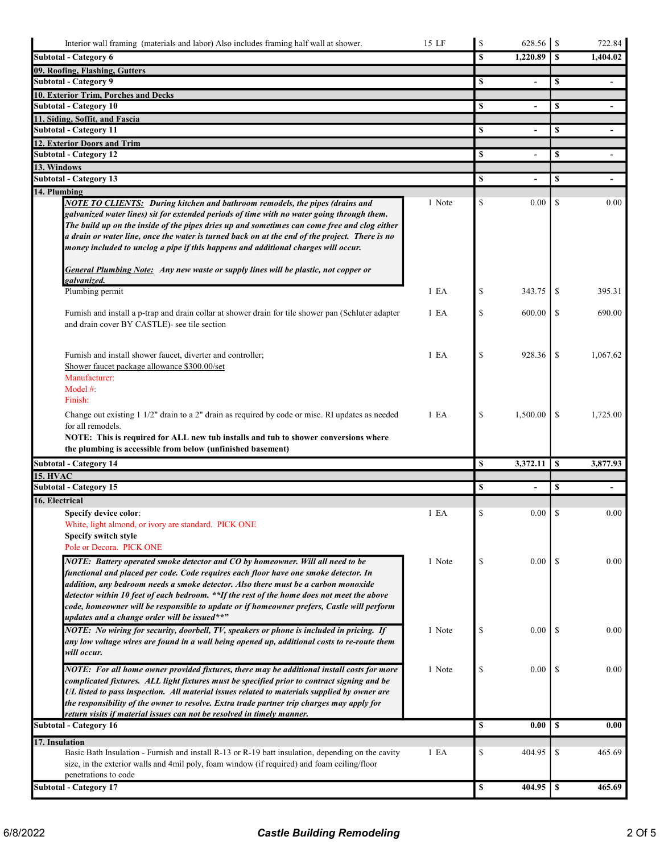| Interior wall framing (materials and labor) Also includes framing half wall at shower.                                                                                                                                                                                                                                                                                                                                                                                                                   | 15 LF            | $\mathbb{S}$ | 628.56         | $\mathcal{S}$ | 722.84         |
|----------------------------------------------------------------------------------------------------------------------------------------------------------------------------------------------------------------------------------------------------------------------------------------------------------------------------------------------------------------------------------------------------------------------------------------------------------------------------------------------------------|------------------|--------------|----------------|---------------|----------------|
| <b>Subtotal - Category 6</b>                                                                                                                                                                                                                                                                                                                                                                                                                                                                             |                  | \$           | 1,220.89       | S             | 1,404.02       |
| 09. Roofing, Flashing, Gutters                                                                                                                                                                                                                                                                                                                                                                                                                                                                           |                  |              |                |               |                |
| <b>Subtotal - Category 9</b>                                                                                                                                                                                                                                                                                                                                                                                                                                                                             |                  | S            |                | \$            |                |
| 10. Exterior Trim, Porches and Decks                                                                                                                                                                                                                                                                                                                                                                                                                                                                     |                  |              |                |               |                |
| <b>Subtotal - Category 10</b>                                                                                                                                                                                                                                                                                                                                                                                                                                                                            |                  | S            |                | \$            |                |
| 11. Siding, Soffit, and Fascia<br><b>Subtotal - Category 11</b>                                                                                                                                                                                                                                                                                                                                                                                                                                          |                  | \$           | $\blacksquare$ | \$            | $\blacksquare$ |
| 12. Exterior Doors and Trim                                                                                                                                                                                                                                                                                                                                                                                                                                                                              |                  |              |                |               |                |
| <b>Subtotal - Category 12</b>                                                                                                                                                                                                                                                                                                                                                                                                                                                                            |                  | \$           |                | \$            |                |
| 13. Windows                                                                                                                                                                                                                                                                                                                                                                                                                                                                                              |                  |              |                |               |                |
| <b>Subtotal - Category 13</b>                                                                                                                                                                                                                                                                                                                                                                                                                                                                            |                  | \$           |                | \$            |                |
| 14. Plumbing                                                                                                                                                                                                                                                                                                                                                                                                                                                                                             |                  |              |                |               |                |
| <b>NOTE TO CLIENTS:</b> During kitchen and bathroom remodels, the pipes (drains and<br>galvanized water lines) sit for extended periods of time with no water going through them.<br>The build up on the inside of the pipes dries up and sometimes can come free and clog either<br>a drain or water line, once the water is turned back on at the end of the project. There is no<br>money included to unclog a pipe if this happens and additional charges will occur.                                | 1 Note           | \$           | 0.00           | <sup>\$</sup> | 0.00           |
| <b>General Plumbing Note:</b> Any new waste or supply lines will be plastic, not copper or<br>galvanized.                                                                                                                                                                                                                                                                                                                                                                                                |                  |              |                |               |                |
| Plumbing permit                                                                                                                                                                                                                                                                                                                                                                                                                                                                                          | 1 E <sub>A</sub> | \$           | 343.75         | -S            | 395.31         |
| Furnish and install a p-trap and drain collar at shower drain for tile shower pan (Schluter adapter<br>and drain cover BY CASTLE)- see tile section                                                                                                                                                                                                                                                                                                                                                      | 1 E A            | \$           | 600.00         | \$            | 690.00         |
| Furnish and install shower faucet, diverter and controller;<br>Shower faucet package allowance \$300.00/set<br>Manufacturer:<br>Model #:<br>Finish:                                                                                                                                                                                                                                                                                                                                                      | 1 E <sub>A</sub> | \$           | 928.36         | -S            | 1,067.62       |
| Change out existing 1 1/2" drain to a 2" drain as required by code or misc. RI updates as needed<br>for all remodels.<br>NOTE: This is required for ALL new tub installs and tub to shower conversions where<br>the plumbing is accessible from below (unfinished basement)                                                                                                                                                                                                                              | 1 E <sub>A</sub> | \$           | 1,500.00       | \$            | 1,725.00       |
| <b>Subtotal - Category 14</b>                                                                                                                                                                                                                                                                                                                                                                                                                                                                            |                  | \$           | 3,372.11       | <sup>\$</sup> | 3,877.93       |
| <b>15. HVAC</b>                                                                                                                                                                                                                                                                                                                                                                                                                                                                                          |                  |              |                |               |                |
| <b>Subtotal - Category 15</b>                                                                                                                                                                                                                                                                                                                                                                                                                                                                            |                  | \$           |                | \$            |                |
| 16. Electrical                                                                                                                                                                                                                                                                                                                                                                                                                                                                                           |                  |              |                |               |                |
| <b>Specify device color:</b><br>White, light almond, or ivory are standard. PICK ONE<br>Specify switch style<br>Pole or Decora. PICK ONE                                                                                                                                                                                                                                                                                                                                                                 | 1 E A            | \$           | 0.00           | \$            | 0.00           |
| NOTE: Battery operated smoke detector and CO by homeowner. Will all need to be<br>functional and placed per code. Code requires each floor have one smoke detector. In<br>addition, any bedroom needs a smoke detector. Also there must be a carbon monoxide<br>detector within 10 feet of each bedroom. **If the rest of the home does not meet the above<br>code, homeowner will be responsible to update or if homeowner prefers, Castle will perform<br>updates and a change order will be issued**" | 1 Note           | \$           | 0.00           | -S            | 0.00           |
| NOTE: No wiring for security, doorbell, TV, speakers or phone is included in pricing. If<br>any low voltage wires are found in a wall being opened up, additional costs to re-route them<br>will occur.                                                                                                                                                                                                                                                                                                  | 1 Note           | \$           | 0.00           | -S            | 0.00           |
| NOTE: For all home owner provided fixtures, there may be additional install costs for more<br>complicated fixtures. ALL light fixtures must be specified prior to contract signing and be<br>UL listed to pass inspection. All material issues related to materials supplied by owner are<br>the responsibility of the owner to resolve. Extra trade partner trip charges may apply for<br>return visits if material issues can not be resolved in timely manner.                                        | 1 Note           | \$           | 0.00           | -S            | 0.00           |
| <b>Subtotal - Category 16</b>                                                                                                                                                                                                                                                                                                                                                                                                                                                                            |                  | \$           | 0.00           | \$            | 0.00           |
| 17. Insulation<br>Basic Bath Insulation - Furnish and install R-13 or R-19 batt insulation, depending on the cavity                                                                                                                                                                                                                                                                                                                                                                                      | 1 E A            | \$           | 404.95         | \$            | 465.69         |
| size, in the exterior walls and 4mil poly, foam window (if required) and foam ceiling/floor<br>penetrations to code                                                                                                                                                                                                                                                                                                                                                                                      |                  |              |                |               |                |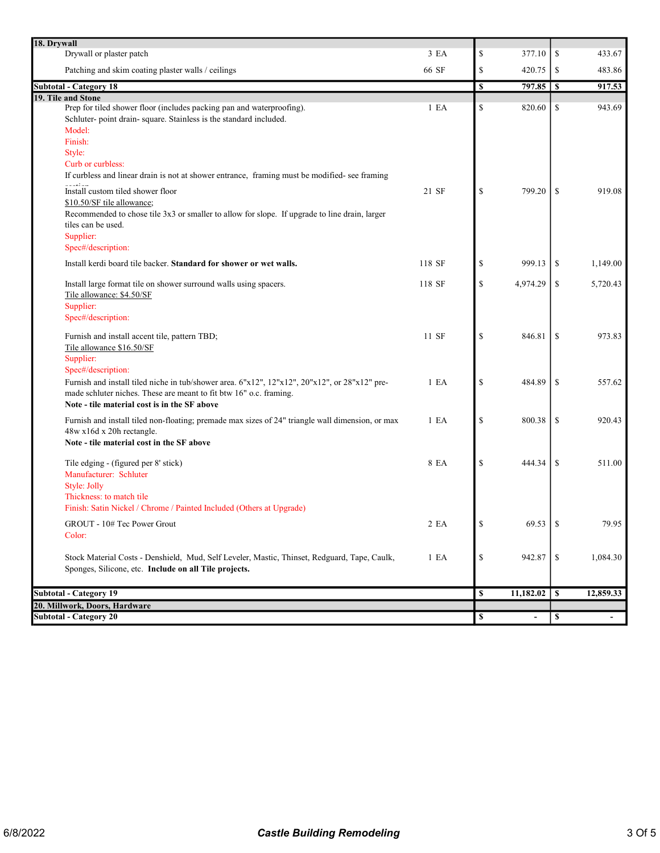| 18. Drywall                                                                                      |                  |                                |               |           |
|--------------------------------------------------------------------------------------------------|------------------|--------------------------------|---------------|-----------|
| Drywall or plaster patch                                                                         | 3 EA             | \$<br>377.10                   | \$            | 433.67    |
| Patching and skim coating plaster walls / ceilings                                               | 66 SF            | \$<br>420.75                   | \$            | 483.86    |
| <b>Subtotal - Category 18</b>                                                                    |                  | \$                             |               | 917.53    |
| 19. Tile and Stone                                                                               |                  |                                |               |           |
| Prep for tiled shower floor (includes packing pan and waterproofing).                            | 1 E A            | \$<br>820.60                   | <sup>\$</sup> | 943.69    |
| Schluter-point drain-square. Stainless is the standard included.                                 |                  |                                |               |           |
| Model:                                                                                           |                  |                                |               |           |
| Finish:                                                                                          |                  |                                |               |           |
| Style:                                                                                           |                  |                                |               |           |
| Curb or curbless:                                                                                |                  |                                |               |           |
| If curbless and linear drain is not at shower entrance, framing must be modified- see framing    |                  |                                |               |           |
| Install custom tiled shower floor                                                                | 21 SF            | \$<br>799.20                   | <sup>\$</sup> | 919.08    |
| \$10.50/SF tile allowance;                                                                       |                  |                                |               |           |
| Recommended to chose tile 3x3 or smaller to allow for slope. If upgrade to line drain, larger    |                  |                                |               |           |
| tiles can be used.                                                                               |                  |                                |               |           |
| Supplier:                                                                                        |                  |                                |               |           |
| Spec#/description:                                                                               |                  |                                |               |           |
| Install kerdi board tile backer. Standard for shower or wet walls.                               | 118 SF           | \$<br>999.13                   | \$            | 1,149.00  |
|                                                                                                  |                  |                                |               |           |
| Install large format tile on shower surround walls using spacers.                                | 118 SF           | \$<br>4,974.29                 | \$            | 5,720.43  |
| Tile allowance: \$4.50/SF                                                                        |                  |                                |               |           |
| Supplier:                                                                                        |                  |                                |               |           |
| Spec#/description:                                                                               |                  |                                |               |           |
|                                                                                                  |                  |                                |               |           |
| Furnish and install accent tile, pattern TBD;                                                    | 11 SF            | \$<br>846.81                   | <sup>\$</sup> | 973.83    |
| Tile allowance \$16.50/SF                                                                        |                  |                                |               |           |
| Supplier:                                                                                        |                  |                                |               |           |
| Spec#/description:                                                                               |                  |                                |               |           |
| Furnish and install tiled niche in tub/shower area. 6"x12", 12"x12", 20"x12", or 28"x12" pre-    | 1 E <sub>A</sub> | \$<br>484.89                   | \$            | 557.62    |
| made schluter niches. These are meant to fit btw 16" o.c. framing.                               |                  |                                |               |           |
| Note - tile material cost is in the SF above                                                     |                  |                                |               |           |
| Furnish and install tiled non-floating; premade max sizes of 24" triangle wall dimension, or max | 1 E A            | \$<br>800.38                   | \$            | 920.43    |
| 48w x16d x 20h rectangle.                                                                        |                  |                                |               |           |
| Note - tile material cost in the SF above                                                        |                  |                                |               |           |
|                                                                                                  |                  |                                |               |           |
| Tile edging - (figured per 8' stick)                                                             | 8 EA             | \$<br>444.34                   | \$            | 511.00    |
| Manufacturer: Schluter                                                                           |                  |                                |               |           |
| Style: Jolly                                                                                     |                  |                                |               |           |
| Thickness: to match tile                                                                         |                  |                                |               |           |
| Finish: Satin Nickel / Chrome / Painted Included (Others at Upgrade)                             |                  |                                |               |           |
|                                                                                                  |                  |                                |               |           |
| GROUT - 10# Tec Power Grout                                                                      | 2 EA             | \$<br>69.53                    | \$            | 79.95     |
| Color:                                                                                           |                  |                                |               |           |
| Stock Material Costs - Denshield, Mud, Self Leveler, Mastic, Thinset, Redguard, Tape, Caulk,     | 1 E A            | \$<br>942.87                   | -S            | 1,084.30  |
| Sponges, Silicone, etc. Include on all Tile projects.                                            |                  |                                |               |           |
|                                                                                                  |                  |                                |               |           |
| <b>Subtotal - Category 19</b>                                                                    |                  | \$<br>11,182.02                | <sup>\$</sup> | 12,859.33 |
| 20. Millwork, Doors, Hardware                                                                    |                  |                                |               |           |
| <b>Subtotal - Category 20</b>                                                                    |                  | \$<br>$\overline{\phantom{0}}$ | $\mathbb S$   |           |
|                                                                                                  |                  |                                |               |           |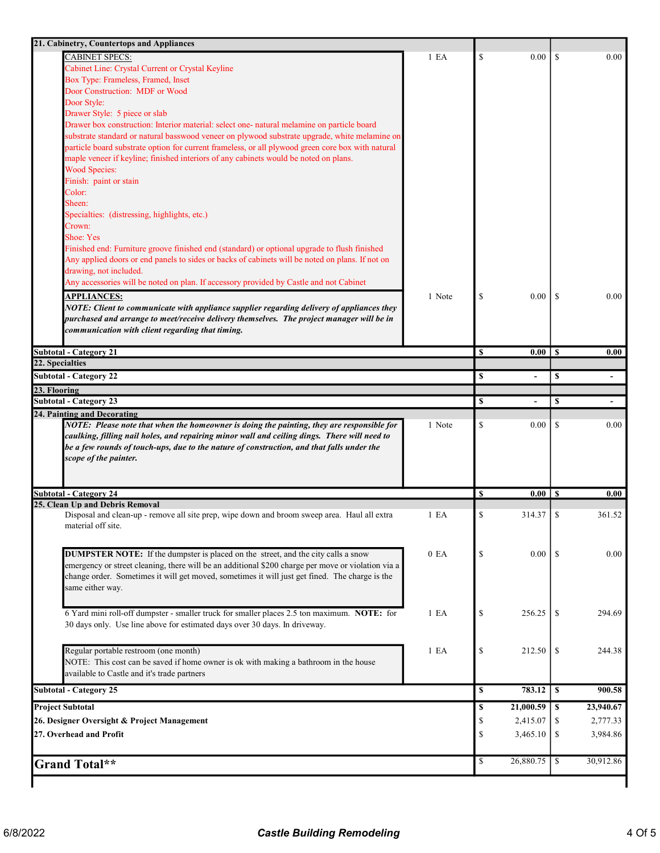| <b>CABINET SPECS:</b>                                                                              | 1 E A            | $\mathbb{S}$ | 0.00                     | \$            | 0.00                             |
|----------------------------------------------------------------------------------------------------|------------------|--------------|--------------------------|---------------|----------------------------------|
| Cabinet Line: Crystal Current or Crystal Keyline                                                   |                  |              |                          |               |                                  |
| Box Type: Frameless, Framed, Inset                                                                 |                  |              |                          |               |                                  |
| Door Construction: MDF or Wood                                                                     |                  |              |                          |               |                                  |
| Door Style:                                                                                        |                  |              |                          |               |                                  |
| Drawer Style: 5 piece or slab                                                                      |                  |              |                          |               |                                  |
| Drawer box construction: Interior material: select one- natural melamine on particle board         |                  |              |                          |               |                                  |
| substrate standard or natural basswood veneer on plywood substrate upgrade, white melamine on      |                  |              |                          |               |                                  |
| particle board substrate option for current frameless, or all plywood green core box with natural  |                  |              |                          |               |                                  |
| maple veneer if keyline; finished interiors of any cabinets would be noted on plans.               |                  |              |                          |               |                                  |
| <b>Wood Species:</b>                                                                               |                  |              |                          |               |                                  |
| Finish: paint or stain                                                                             |                  |              |                          |               |                                  |
| Color:                                                                                             |                  |              |                          |               |                                  |
| Sheen:                                                                                             |                  |              |                          |               |                                  |
| Specialties: (distressing, highlights, etc.)                                                       |                  |              |                          |               |                                  |
| Crown:                                                                                             |                  |              |                          |               |                                  |
| Shoe: Yes                                                                                          |                  |              |                          |               |                                  |
| Finished end: Furniture groove finished end (standard) or optional upgrade to flush finished       |                  |              |                          |               |                                  |
| Any applied doors or end panels to sides or backs of cabinets will be noted on plans. If not on    |                  |              |                          |               |                                  |
| drawing, not included.                                                                             |                  |              |                          |               |                                  |
| Any accessories will be noted on plan. If accessory provided by Castle and not Cabinet             |                  |              |                          |               |                                  |
| <b>APPLIANCES:</b>                                                                                 | 1 Note           | \$           | 0.00                     | -S            | 0.00                             |
| NOTE: Client to communicate with appliance supplier regarding delivery of appliances they          |                  |              |                          |               |                                  |
| purchased and arrange to meet/receive delivery themselves. The project manager will be in          |                  |              |                          |               |                                  |
| communication with client regarding that timing.                                                   |                  |              |                          |               |                                  |
|                                                                                                    |                  |              |                          |               |                                  |
| <b>Subtotal - Category 21</b>                                                                      |                  | $\mathbf S$  | $0.00 \mid S$            |               | 0.00                             |
| 22. Specialties                                                                                    |                  |              |                          |               |                                  |
| <b>Subtotal - Category 22</b>                                                                      |                  | \$           | $\overline{\phantom{a}}$ | \$            | $\overline{\phantom{a}}$         |
|                                                                                                    |                  |              |                          |               |                                  |
| 23. Flooring                                                                                       |                  |              |                          |               |                                  |
|                                                                                                    |                  |              |                          |               |                                  |
| <b>Subtotal - Category 23</b>                                                                      |                  | \$           | $\overline{\phantom{a}}$ | <sup>\$</sup> |                                  |
| 24. Painting and Decorating                                                                        |                  |              |                          |               |                                  |
| NOTE: Please note that when the homeowner is doing the painting, they are responsible for          | 1 Note           | \$           | 0.00                     | \$            |                                  |
| caulking, filling nail holes, and repairing minor wall and ceiling dings. There will need to       |                  |              |                          |               | 0.00                             |
| be a few rounds of touch-ups, due to the nature of construction, and that falls under the          |                  |              |                          |               |                                  |
| scope of the painter.                                                                              |                  |              |                          |               |                                  |
|                                                                                                    |                  |              |                          |               |                                  |
|                                                                                                    |                  |              |                          |               |                                  |
| <b>Subtotal - Category 24</b>                                                                      |                  | \$           | 0.00                     | l S           |                                  |
| 25. Clean Up and Debris Removal                                                                    |                  |              |                          |               |                                  |
| Disposal and clean-up - remove all site prep, wipe down and broom sweep area. Haul all extra       | 1 E A            | \$           | 314.37                   | <sup>\$</sup> |                                  |
| material off site.                                                                                 |                  |              |                          |               |                                  |
|                                                                                                    |                  |              |                          |               |                                  |
|                                                                                                    |                  |              |                          |               |                                  |
| <b>DUMPSTER NOTE:</b> If the dumpster is placed on the street, and the city calls a snow           | 0 E <sub>A</sub> | \$           | 0.00                     | -S            |                                  |
| emergency or street cleaning, there will be an additional \$200 charge per move or violation via a |                  |              |                          |               |                                  |
| change order. Sometimes it will get moved, sometimes it will just get fined. The charge is the     |                  |              |                          |               |                                  |
| same either way.                                                                                   |                  |              |                          |               |                                  |
|                                                                                                    |                  |              |                          |               |                                  |
| 6 Yard mini roll-off dumpster - smaller truck for smaller places 2.5 ton maximum. NOTE: for        | 1 E A            | \$           | 256.25                   | -S            |                                  |
| 30 days only. Use line above for estimated days over 30 days. In driveway.                         |                  |              |                          |               | 0.00<br>361.52<br>0.00<br>294.69 |
|                                                                                                    |                  |              |                          |               |                                  |
| Regular portable restroom (one month)                                                              | 1 E A            | \$           | 212.50                   | -S            |                                  |
|                                                                                                    |                  |              |                          |               | 244.38                           |
| NOTE: This cost can be saved if home owner is ok with making a bathroom in the house               |                  |              |                          |               |                                  |
| available to Castle and it's trade partners                                                        |                  |              |                          |               |                                  |
| <b>Subtotal - Category 25</b>                                                                      |                  | \$           | 783.12                   | l S           |                                  |
| <b>Project Subtotal</b>                                                                            |                  | \$           | 21,000.59                | l S           |                                  |
| 26. Designer Oversight & Project Management                                                        |                  | \$           | 2,415.07                 | -S            | 900.58<br>23,940.67<br>2,777.33  |
| 27. Overhead and Profit                                                                            |                  | \$           |                          | -S            |                                  |
|                                                                                                    |                  |              | 3,465.10                 |               | 3,984.86                         |
| <b>Grand Total**</b>                                                                               |                  | \$           | 26,880.75                | l \$          | 30,912.86                        |